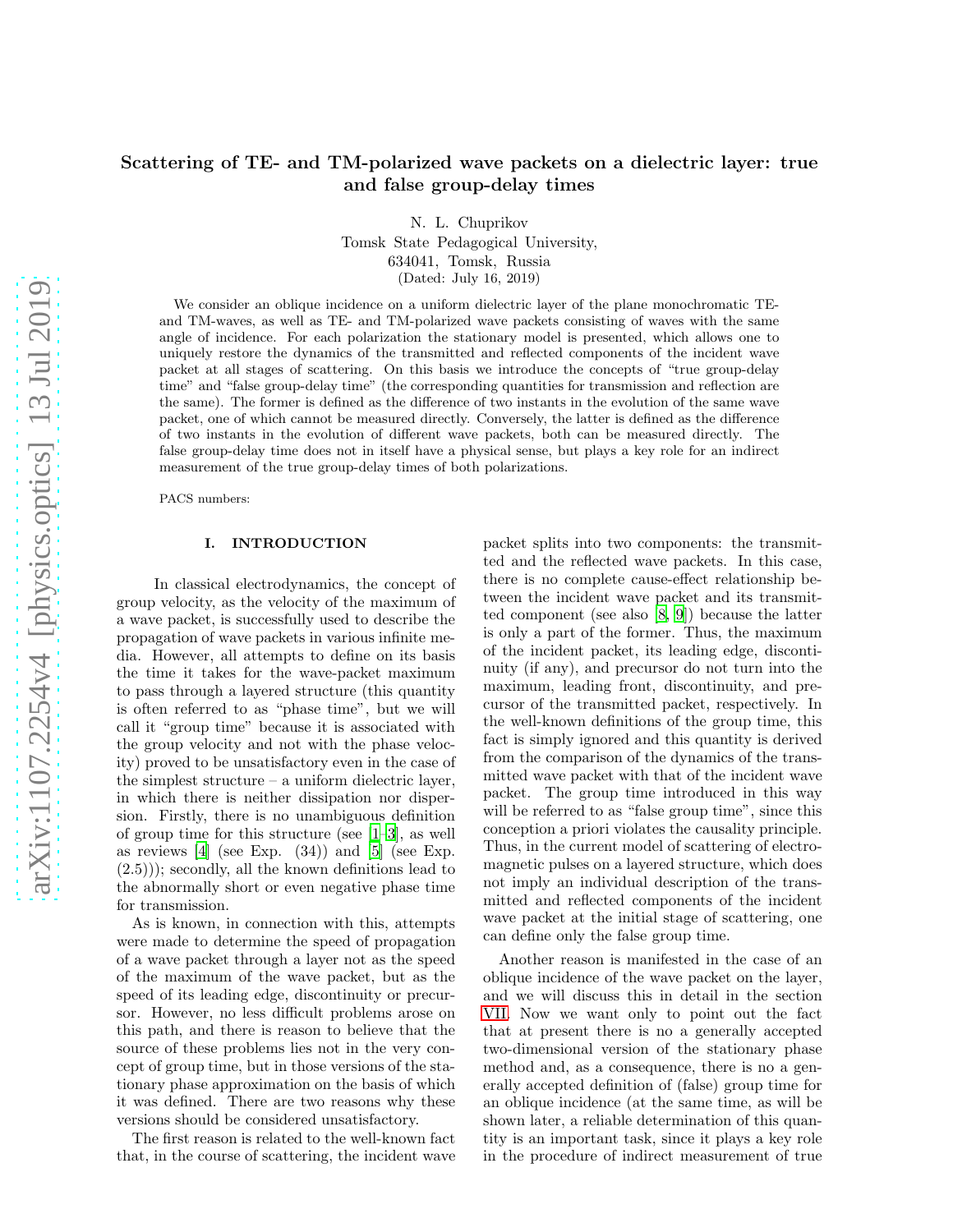# Scattering of TE- and TM-polarized wave packets on a dielectric layer: true and false group-delay times

N. L. Chuprikov

Tomsk State Pedagogical University, 634041, Tomsk, Russia

(Dated: July 16, 2019)

We consider an oblique incidence on a uniform dielectric layer of the plane monochromatic TEand TM-waves, as well as TE- and TM-polarized wave packets consisting of waves with the same angle of incidence. For each polarization the stationary model is presented, which allows one to uniquely restore the dynamics of the transmitted and reflected components of the incident wave packet at all stages of scattering. On this basis we introduce the concepts of "true group-delay time" and "false group-delay time" (the corresponding quantities for transmission and reflection are the same). The former is defined as the difference of two instants in the evolution of the same wave packet, one of which cannot be measured directly. Conversely, the latter is defined as the difference of two instants in the evolution of different wave packets, both can be measured directly. The false group-delay time does not in itself have a physical sense, but plays a key role for an indirect measurement of the true group-delay times of both polarizations.

PACS numbers:

# I. INTRODUCTION

In classical electrodynamics, the concept of group velocity, as the velocity of the maximum of a wave packet, is successfully used to describe the propagation of wave packets in various infinite media. However, all attempts to define on its basis the time it takes for the wave-packet maximum to pass through a layered structure (this quantity is often referred to as "phase time", but we will call it "group time" because it is associated with the group velocity and not with the phase velocity) proved to be unsatisfactory even in the case of the simplest structure – a uniform dielectric layer, in which there is neither dissipation nor dispersion. Firstly, there is no unambiguous definition of group time for this structure (see [\[1](#page-8-0)[–3](#page-8-1)], as well as reviews  $[4]$  (see Exp.  $(34)$ ) and  $[5]$  (see Exp. (2.5))); secondly, all the known definitions lead to the abnormally short or even negative phase time for transmission.

As is known, in connection with this, attempts were made to determine the speed of propagation of a wave packet through a layer not as the speed of the maximum of the wave packet, but as the speed of its leading edge, discontinuity or precursor. However, no less difficult problems arose on this path, and there is reason to believe that the source of these problems lies not in the very concept of group time, but in those versions of the stationary phase approximation on the basis of which it was defined. There are two reasons why these versions should be considered unsatisfactory.

The first reason is related to the well-known fact that, in the course of scattering, the incident wave packet splits into two components: the transmitted and the reflected wave packets. In this case, there is no complete cause-effect relationship between the incident wave packet and its transmitted component (see also [\[8,](#page-8-4) [9](#page-8-5)]) because the latter is only a part of the former. Thus, the maximum of the incident packet, its leading edge, discontinuity (if any), and precursor do not turn into the maximum, leading front, discontinuity, and precursor of the transmitted packet, respectively. In the well-known definitions of the group time, this fact is simply ignored and this quantity is derived from the comparison of the dynamics of the transmitted wave packet with that of the incident wave packet. The group time introduced in this way will be referred to as "false group time", since this conception a priori violates the causality principle. Thus, in the current model of scattering of electromagnetic pulses on a layered structure, which does not imply an individual description of the transmitted and reflected components of the incident wave packet at the initial stage of scattering, one can define only the false group time.

Another reason is manifested in the case of an oblique incidence of the wave packet on the layer, and we will discuss this in detail in the section [VII.](#page-7-0) Now we want only to point out the fact that at present there is no a generally accepted two-dimensional version of the stationary phase method and, as a consequence, there is no a generally accepted definition of (false) group time for an oblique incidence (at the same time, as will be shown later, a reliable determination of this quantity is an important task, since it plays a key role in the procedure of indirect measurement of true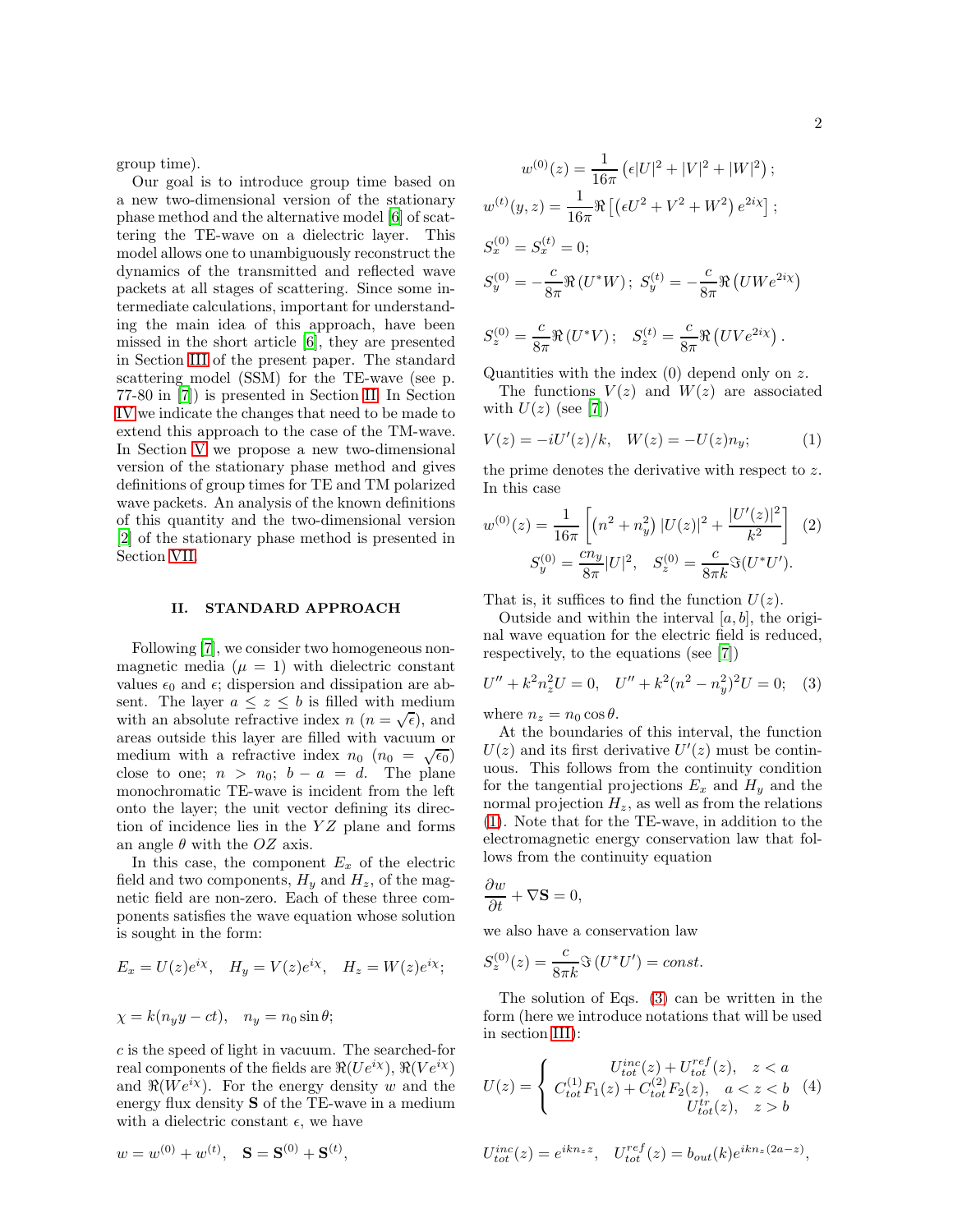group time).

Our goal is to introduce group time based on a new two-dimensional version of the stationary phase method and the alternative model [\[6\]](#page-8-6) of scattering the TE-wave on a dielectric layer. This model allows one to unambiguously reconstruct the dynamics of the transmitted and reflected wave packets at all stages of scattering. Since some intermediate calculations, important for understanding the main idea of this approach, have been missed in the short article [\[6\]](#page-8-6), they are presented in Section [III](#page-2-0) of the present paper. The standard scattering model (SSM) for the TE-wave (see p. 77-80 in [\[7\]](#page-8-7)) is presented in Section [II.](#page-1-0) In Section [IV](#page-3-0) we indicate the changes that need to be made to extend this approach to the case of the TM-wave. In Section [V](#page-4-0) we propose a new two-dimensional version of the stationary phase method and gives definitions of group times for TE and TM polarized wave packets. An analysis of the known definitions of this quantity and the two-dimensional version [\[2\]](#page-8-8) of the stationary phase method is presented in Section [VII.](#page-7-0)

## <span id="page-1-0"></span>II. STANDARD APPROACH

Following [\[7](#page-8-7)], we consider two homogeneous nonmagnetic media  $(\mu = 1)$  with dielectric constant values  $\epsilon_0$  and  $\epsilon$ ; dispersion and dissipation are absent. The layer  $a \leq z \leq b$  is filled with medium with an absolute refractive index  $n (n = \sqrt{\epsilon})$ , and areas outside this layer are filled with vacuum or medium with a refractive index  $n_0$  ( $n_0 = \sqrt{\epsilon_0}$ ) close to one;  $n > n_0$ ;  $b - a = d$ . The plane monochromatic TE-wave is incident from the left onto the layer; the unit vector defining its direction of incidence lies in the  $YZ$  plane and forms an angle  $\theta$  with the OZ axis.

In this case, the component  $E_x$  of the electric field and two components,  $H_y$  and  $H_z$ , of the magnetic field are non-zero. Each of these three components satisfies the wave equation whose solution is sought in the form:

$$
E_x = U(z)e^{i\chi}, \quad H_y = V(z)e^{i\chi}, \quad H_z = W(z)e^{i\chi};
$$

$$
\chi = k(n_y y - ct), \quad n_y = n_0 \sin \theta;
$$

 $w = w^{(0)} + w^{(t)}, \quad S = S^{(0)} + S^{(t)},$ 

c is the speed of light in vacuum. The searched-for real components of the fields are  $\Re(Ue^{i\chi})$ ,  $\Re(Ve^{i\chi})$ and  $\Re(We^{i\chi})$ . For the energy density w and the energy flux density S of the TE-wave in a medium with a dielectric constant  $\epsilon$ , we have

$$
w^{(0)}(z) = \frac{1}{16\pi} \left( \epsilon |U|^2 + |V|^2 + |W|^2 \right);
$$
  
\n
$$
w^{(t)}(y, z) = \frac{1}{16\pi} \Re \left[ \left( \epsilon U^2 + V^2 + W^2 \right) e^{2i\chi} \right];
$$
  
\n
$$
S_x^{(0)} = S_x^{(t)} = 0;
$$
  
\n
$$
S_y^{(0)} = -\frac{c}{8\pi} \Re \left( U^* W \right); \ S_y^{(t)} = -\frac{c}{8\pi} \Re \left( U W e^{2i\chi} \right)
$$

$$
S_z^{(0)} = \frac{c}{8\pi} \Re\left(U^*V\right); \quad S_z^{(t)} = \frac{c}{8\pi} \Re\left(UVe^{2i\chi}\right).
$$

Quantities with the index  $(0)$  depend only on z.

The functions  $V(z)$  and  $W(z)$  are associated with  $U(z)$  (see [\[7](#page-8-7)])

<span id="page-1-1"></span>
$$
V(z) = -iU'(z)/k, \quad W(z) = -U(z)n_y;
$$
 (1)

the prime denotes the derivative with respect to z. In this case

$$
w^{(0)}(z) = \frac{1}{16\pi} \left[ \left( n^2 + n_y^2 \right) |U(z)|^2 + \frac{|U'(z)|^2}{k^2} \right] \tag{2}
$$
  

$$
S_y^{(0)} = \frac{cn_y}{8\pi} |U|^2, \quad S_z^{(0)} = \frac{c}{8\pi k} \Im(U^*U').
$$

That is, it suffices to find the function  $U(z)$ .

Outside and within the interval  $[a, b]$ , the original wave equation for the electric field is reduced, respectively, to the equations (see [\[7\]](#page-8-7))

<span id="page-1-2"></span>
$$
U'' + k^2 n_z^2 U = 0, \quad U'' + k^2 (n^2 - n_y^2)^2 U = 0; \quad (3)
$$

where  $n_z = n_0 \cos \theta$ .

At the boundaries of this interval, the function  $U(z)$  and its first derivative  $U'(z)$  must be continuous. This follows from the continuity condition for the tangential projections  $E_x$  and  $H_y$  and the normal projection  $H_z$ , as well as from the relations [\(1\)](#page-1-1). Note that for the TE-wave, in addition to the electromagnetic energy conservation law that follows from the continuity equation

$$
\frac{\partial w}{\partial t} + \nabla \mathbf{S} = 0,
$$

we also have a conservation law

$$
S_z^{(0)}(z) = \frac{c}{8\pi k} \Im\left(U^*U'\right) = const.
$$

The solution of Eqs. [\(3\)](#page-1-2) can be written in the form (here we introduce notations that will be used in section [III\)](#page-2-0):

<span id="page-1-3"></span>
$$
U(z) = \begin{cases} U_{tot}^{inc}(z) + U_{tot}^{ref}(z), & z < a \\ C_{tot}^{(1)}F_1(z) + C_{tot}^{(2)}F_2(z), & a < z < b \\ U_{tot}^{tr}(z), & z > b \end{cases}
$$
(4)

$$
U_{tot}^{inc}(z) = e^{iknz^{z}}, \quad U_{tot}^{ref}(z) = b_{out}(k)e^{iknz(2a-z)},
$$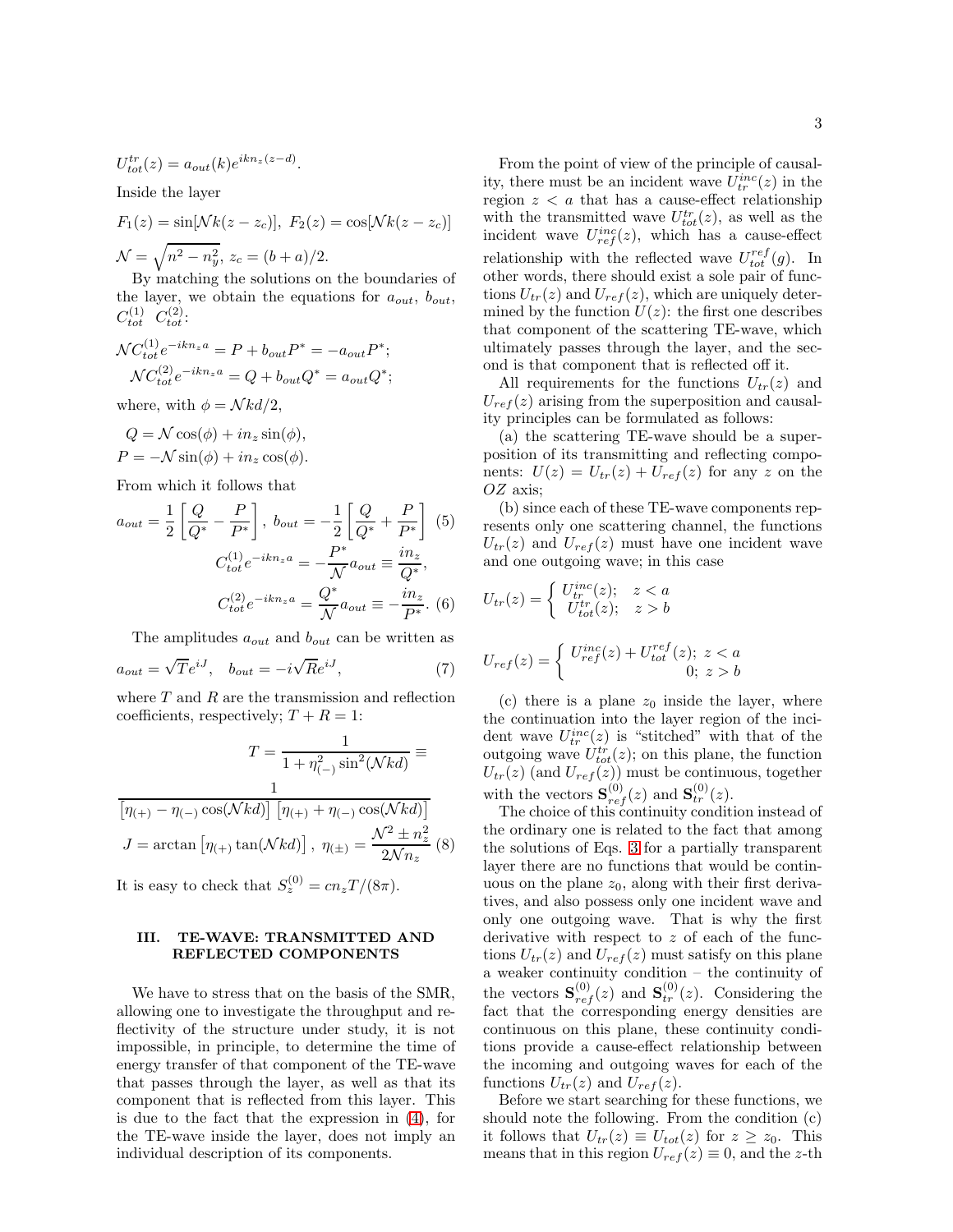$$
U_{tot}^{tr}(z)=a_{out}(k)e^{ikn_z(z-d)}.
$$

Inside the layer

$$
F_1(z) = \sin[Nk(z - z_c)], \ F_2(z) = \cos[Nk(z - z_c)]
$$
  

$$
\mathcal{N} = \sqrt{n^2 - n_y^2}, \ z_c = (b + a)/2.
$$

By matching the solutions on the boundaries of the layer, we obtain the equations for  $a_{out}$ ,  $b_{out}$ ,  $C_{tot}^{(1)}$   $C_{tot}^{(2)}$ :

$$
\mathcal{N}C_{tot}^{(1)}e^{-ikn_za} = P + b_{out}P^* = -a_{out}P^*;
$$
  

$$
\mathcal{N}C_{tot}^{(2)}e^{-ikn_za} = Q + b_{out}Q^* = a_{out}Q^*;
$$

where, with  $\phi = \mathcal{N} k d/2$ ,

$$
Q = N \cos(\phi) + in_z \sin(\phi),
$$
  

$$
P = -N \sin(\phi) + in_z \cos(\phi).
$$

From which it follows that

$$
a_{out} = \frac{1}{2} \left[ \frac{Q}{Q^*} - \frac{P}{P^*} \right], \ b_{out} = -\frac{1}{2} \left[ \frac{Q}{Q^*} + \frac{P}{P^*} \right] \tag{5}
$$

$$
C_{tot}^{(1)} e^{-ikn_z a} = -\frac{P^*}{N} a_{out} \equiv \frac{in_z}{Q^*},
$$

$$
C_{tot}^{(2)} e^{-ikn_z a} = \frac{Q^*}{N} a_{out} \equiv -\frac{in_z}{P^*}. \tag{6}
$$

The amplitudes  $a_{out}$  and  $b_{out}$  can be written as

$$
a_{out} = \sqrt{T}e^{iJ}, \quad b_{out} = -i\sqrt{R}e^{iJ}, \tag{7}
$$

where  $T$  and  $R$  are the transmission and reflection coefficients, respectively;  $T + R = 1$ :

<span id="page-2-1"></span>
$$
T = \frac{1}{1 + \eta_{(-)}^2 \sin^2(Nkd)} \equiv
$$

$$
\frac{1}{\left[\eta_{(+)} - \eta_{(-)} \cos(Nkd)\right] \left[\eta_{(+)} + \eta_{(-)} \cos(Nkd)\right]}
$$

$$
J = \arctan\left[\eta_{(+)} \tan(Nkd)\right], \ \eta_{(\pm)} = \frac{\mathcal{N}^2 \pm n_z^2}{2\mathcal{N}n_z} \ (8)
$$

It is easy to check that  $S_z^{(0)} = cn_z T/(8\pi)$ .

# <span id="page-2-0"></span>III. TE-WAVE: TRANSMITTED AND REFLECTED COMPONENTS

We have to stress that on the basis of the SMR, allowing one to investigate the throughput and reflectivity of the structure under study, it is not impossible, in principle, to determine the time of energy transfer of that component of the TE-wave that passes through the layer, as well as that its component that is reflected from this layer. This is due to the fact that the expression in [\(4\)](#page-1-3), for the TE-wave inside the layer, does not imply an individual description of its components.

From the point of view of the principle of causality, there must be an incident wave  $U_{tr}^{inc}(z)$  in the region  $z < a$  that has a cause-effect relationship with the transmitted wave  $U_{tot}^{tr}(z)$ , as well as the incident wave  $U_{ref}^{inc}(z)$ , which has a cause-effect relationship with the reflected wave  $U_{tot}^{ref}(g)$ . In other words, there should exist a sole pair of functions  $U_{tr}(z)$  and  $U_{ref}(z)$ , which are uniquely determined by the function  $U(z)$ : the first one describes that component of the scattering TE-wave, which ultimately passes through the layer, and the second is that component that is reflected off it.

All requirements for the functions  $U_{tr}(z)$  and  $U_{ref}(z)$  arising from the superposition and causality principles can be formulated as follows:

(a) the scattering TE-wave should be a superposition of its transmitting and reflecting components:  $U(z) = U_{tr}(z) + U_{ref}(z)$  for any z on the OZ axis;

(b) since each of these TE-wave components represents only one scattering channel, the functions  $U_{tr}(z)$  and  $U_{ref}(z)$  must have one incident wave and one outgoing wave; in this case

$$
U_{tr}(z) = \begin{cases} U_{tr}^{inc}(z); & z < a \\ U_{tot}^{tr}(z); & z > b \end{cases}
$$
  

$$
U_{ref}(z) = \begin{cases} U_{ref}^{inc}(z) + U_{tot}^{ref}(z); & z < a \\ 0; & z > b \end{cases}
$$

(c) there is a plane  $z_0$  inside the layer, where the continuation into the layer region of the incident wave  $U_{tr}^{inc}(z)$  is "stitched" with that of the outgoing wave  $U_{tot}^{tr}(z)$ ; on this plane, the function  $U_{tr}(z)$  (and  $U_{ref}(z)$ ) must be continuous, together with the vectors  $\mathbf{S}_{ref}^{(0)}(z)$  and  $\mathbf{S}_{tr}^{(0)}(z)$ .

The choice of this continuity condition instead of the ordinary one is related to the fact that among the solutions of Eqs. [3](#page-1-2) for a partially transparent layer there are no functions that would be continuous on the plane  $z_0$ , along with their first derivatives, and also possess only one incident wave and only one outgoing wave. That is why the first derivative with respect to z of each of the functions  $U_{tr}(z)$  and  $U_{ref}(z)$  must satisfy on this plane a weaker continuity condition – the continuity of the vectors  $\mathbf{S}_{ref}^{(0)}(z)$  and  $\mathbf{S}_{tr}^{(0)}(z)$ . Considering the fact that the corresponding energy densities are continuous on this plane, these continuity conditions provide a cause-effect relationship between the incoming and outgoing waves for each of the functions  $U_{tr}(z)$  and  $U_{ref}(z)$ .

Before we start searching for these functions, we should note the following. From the condition (c) it follows that  $U_{tr}(z) \equiv U_{tot}(z)$  for  $z \ge z_0$ . This means that in this region  $U_{ref}(z) \equiv 0$ , and the z-th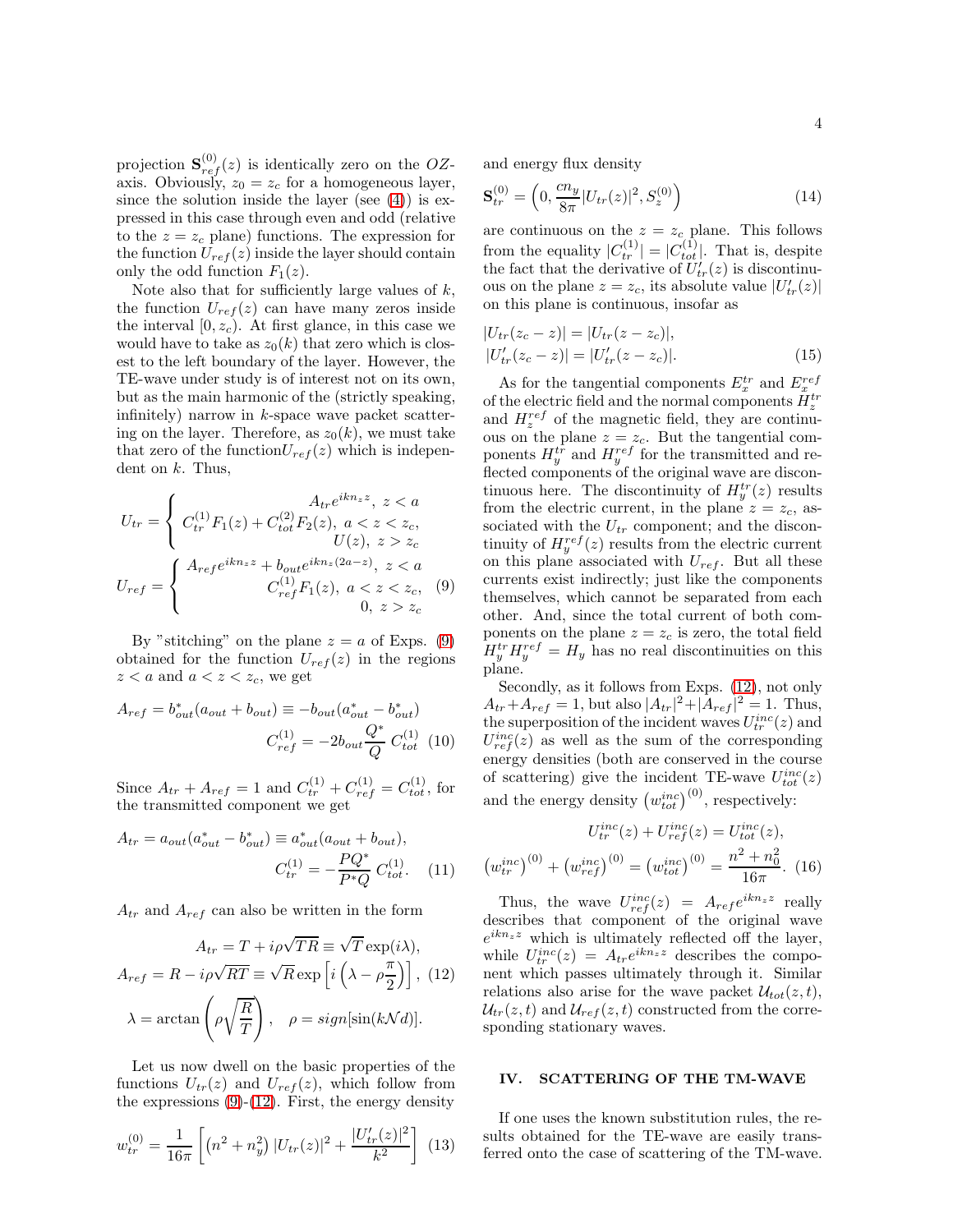projection  $\mathbf{S}_{ref}^{(0)}(z)$  is identically zero on the OZaxis. Obviously,  $z_0 = z_c$  for a homogeneous layer, since the solution inside the layer (see  $(4)$ ) is expressed in this case through even and odd (relative to the  $z = z_c$  plane) functions. The expression for the function  $U_{ref}(z)$  inside the layer should contain only the odd function  $F_1(z)$ .

Note also that for sufficiently large values of  $k$ , the function  $U_{ref}(z)$  can have many zeros inside the interval  $[0, z_c)$ . At first glance, in this case we would have to take as  $z_0(k)$  that zero which is closest to the left boundary of the layer. However, the TE-wave under study is of interest not on its own, but as the main harmonic of the (strictly speaking, infinitely) narrow in  $k$ -space wave packet scattering on the layer. Therefore, as  $z_0(k)$ , we must take that zero of the function  $U_{ref}(z)$  which is independent on  $k$ . Thus,

<span id="page-3-1"></span>
$$
U_{tr} = \begin{cases} \nC_{tr}^{(1)} F_1(z) + C_{tot}^{(2)} F_2(z), \ a < z < z_c, \\
U(z), \ z > z_c \\
U_{ref} = \begin{cases} \nA_{ref} e^{ikn_z z} + b_{out} e^{ikn_z (2a - z)}, \ z < a \\
C_{ref}^{(1)} F_1(z), \ a < z < z_c, \\
0, \ z > z_c\n\end{cases} \n\end{cases} \tag{9}
$$

By "stitching" on the plane  $z = a$  of Exps. [\(9\)](#page-3-1) obtained for the function  $U_{ref}(z)$  in the regions  $z < a$  and  $a < z < z_c$ , we get

$$
A_{ref} = b_{out}^*(a_{out} + b_{out}) \equiv -b_{out}(a_{out}^* - b_{out}^*)
$$
  

$$
C_{ref}^{(1)} = -2b_{out}\frac{Q^*}{Q}C_{tot}^{(1)}(10)
$$

Since  $A_{tr} + A_{ref} = 1$  and  $C_{tr}^{(1)} + C_{ref}^{(1)} = C_{tot}^{(1)}$ , for the transmitted component we get

<span id="page-3-5"></span>
$$
A_{tr} = a_{out}(a_{out}^* - b_{out}^*) \equiv a_{out}^*(a_{out} + b_{out}),
$$
  

$$
C_{tr}^{(1)} = -\frac{PQ^*}{P^*Q}C_{tot}^{(1)}.
$$
 (11)

 $A_{tr}$  and  $A_{ref}$  can also be written in the form

<span id="page-3-2"></span>
$$
A_{tr} = T + i\rho\sqrt{TR} \equiv \sqrt{T} \exp(i\lambda),
$$
  

$$
A_{ref} = R - i\rho\sqrt{RT} \equiv \sqrt{R} \exp\left[i\left(\lambda - \rho\frac{\pi}{2}\right)\right], (12)
$$
  

$$
\lambda = \arctan\left(\rho\sqrt{\frac{R}{T}}\right), \quad \rho = sign[\sin(k\mathcal{N}d)].
$$

Let us now dwell on the basic properties of the functions  $U_{tr}(z)$  and  $U_{ref}(z)$ , which follow from the expressions  $(9)-(12)$  $(9)-(12)$ . First, the energy density

$$
w_{tr}^{(0)} = \frac{1}{16\pi} \left[ \left( n^2 + n_y^2 \right) |U_{tr}(z)|^2 + \frac{|U'_{tr}(z)|^2}{k^2} \right] \tag{13}
$$

and energy flux density

$$
\mathbf{S}_{tr}^{(0)} = \left(0, \frac{cn_y}{8\pi} |U_{tr}(z)|^2, S_z^{(0)}\right) \tag{14}
$$

are continuous on the  $z = z_c$  plane. This follows from the equality  $|C_{tr}^{(1)}| = |C_{tot}^{(1)}|$ . That is, despite the fact that the derivative of  $U'_{tr}(z)$  is discontinuous on the plane  $z = z_c$ , its absolute value  $|U'_{tr}(z)|$ on this plane is continuous, insofar as

<span id="page-3-3"></span>
$$
|U_{tr}(z_c - z)| = |U_{tr}(z - z_c)|,
$$
  
\n
$$
|U'_{tr}(z_c - z)| = |U'_{tr}(z - z_c)|.
$$
\n(15)

As for the tangential components  $E_x^{tr}$  and  $E_x^{ref}$ of the electric field and the normal components  $H_z^{tr}$ and  $H_z^{ref}$  of the magnetic field, they are continuous on the plane  $z = z_c$ . But the tangential components  $H_y^{tr}$  and  $H_y^{ref}$  for the transmitted and reflected components of the original wave are discontinuous here. The discontinuity of  $H_y^{tr}(z)$  results from the electric current, in the plane  $z = z_c$ , associated with the  ${\cal U}_{tr}$  component; and the discontinuity of  $H_y^{ref}(z)$  results from the electric current on this plane associated with  $U_{ref}$ . But all these currents exist indirectly; just like the components themselves, which cannot be separated from each other. And, since the total current of both components on the plane  $z = z_c$  is zero, the total field  $H_y^{tr} H_y^{ref} = H_y$  has no real discontinuities on this plane.

Secondly, as it follows from Exps. [\(12\)](#page-3-2), not only  $A_{tr} + A_{ref} = 1$ , but also  $|A_{tr}|^2 + |A_{ref}|^2 = 1$ . Thus, the superposition of the incident waves  $U_{tr}^{inc}(z)$  and  $U_{ref}^{inc}(z)$  as well as the sum of the corresponding energy densities (both are conserved in the course of scattering) give the incident TE-wave  $U_{tot}^{inc}(z)$ and the energy density  $(w_{tot}^{inc})^{(0)}$ , respectively:

<span id="page-3-4"></span>
$$
U_{tr}^{inc}(z) + U_{ref}^{inc}(z) = U_{tot}^{inc}(z),
$$

$$
(w_{tr}^{inc})^{(0)} + (w_{ref}^{inc})^{(0)} = (w_{tot}^{inc})^{(0)} = \frac{n^2 + n_0^2}{16\pi}.
$$
 (16)

Thus, the wave  $U_{ref}^{inc}(z) = A_{ref}e^{ikn_z z}$  really describes that component of the original wave  $e^{ikn_zz}$  which is ultimately reflected off the layer, while  $U_{tr}^{inc}(z) = A_{tr}e^{ikn_z z}$  describes the component which passes ultimately through it. Similar relations also arise for the wave packet  $\mathcal{U}_{tot}(z, t)$ ,  $U_{tr}(z,t)$  and  $U_{ref}(z,t)$  constructed from the corresponding stationary waves.

# <span id="page-3-0"></span>IV. SCATTERING OF THE TM-WAVE

If one uses the known substitution rules, the results obtained for the TE-wave are easily transferred onto the case of scattering of the TM-wave.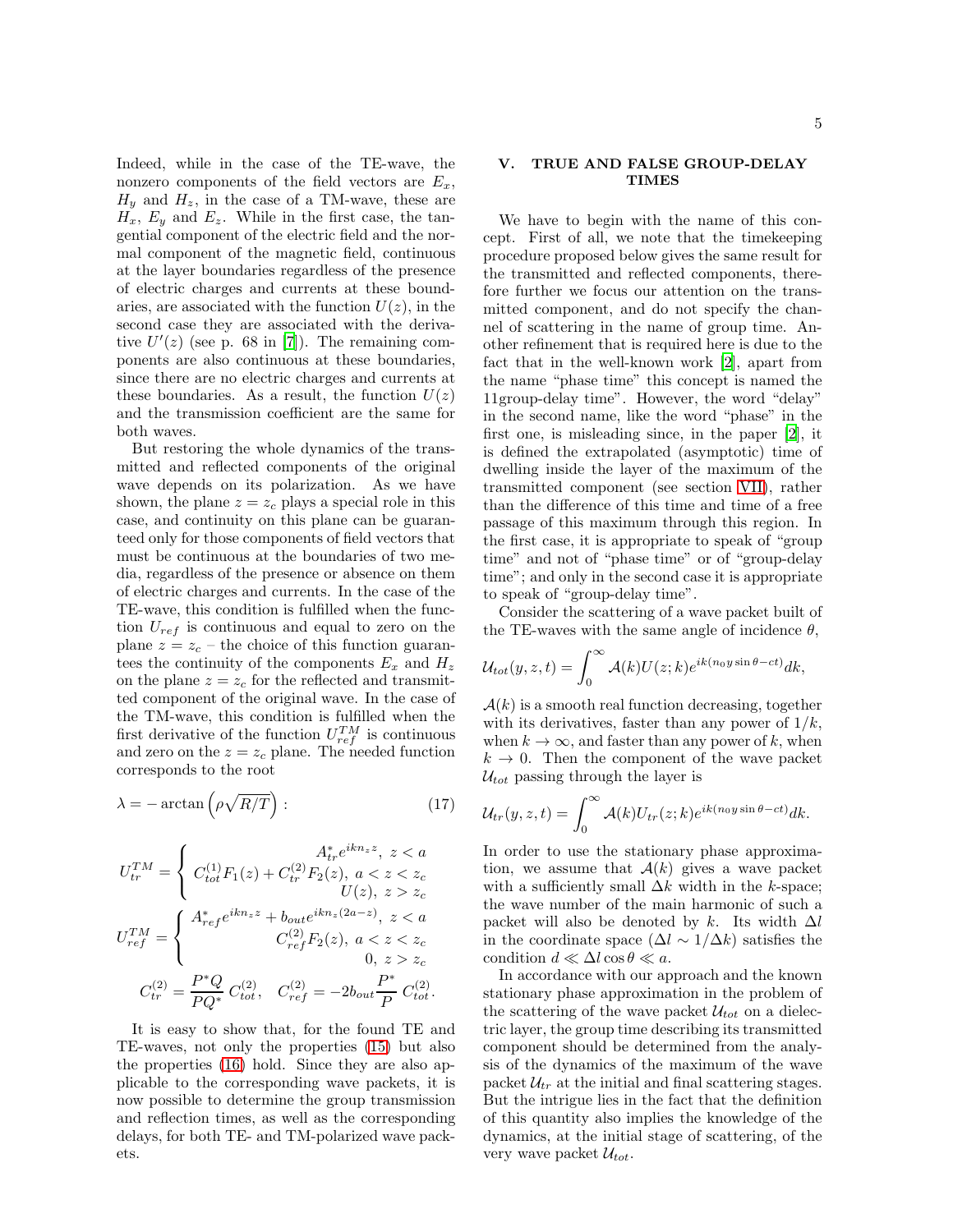Indeed, while in the case of the TE-wave, the nonzero components of the field vectors are  $E_x$ ,  $H_u$  and  $H_z$ , in the case of a TM-wave, these are  $H_x$ ,  $E_y$  and  $E_z$ . While in the first case, the tangential component of the electric field and the normal component of the magnetic field, continuous at the layer boundaries regardless of the presence of electric charges and currents at these boundaries, are associated with the function  $U(z)$ , in the second case they are associated with the derivative  $U'(z)$  (see p. 68 in [\[7](#page-8-7)]). The remaining components are also continuous at these boundaries, since there are no electric charges and currents at these boundaries. As a result, the function  $U(z)$ and the transmission coefficient are the same for both waves.

But restoring the whole dynamics of the transmitted and reflected components of the original wave depends on its polarization. As we have shown, the plane  $z = z_c$  plays a special role in this case, and continuity on this plane can be guaranteed only for those components of field vectors that must be continuous at the boundaries of two media, regardless of the presence or absence on them of electric charges and currents. In the case of the TE-wave, this condition is fulfilled when the function  $U_{ref}$  is continuous and equal to zero on the plane  $z = z_c$  – the choice of this function guarantees the continuity of the components  $E_x$  and  $H_z$ on the plane  $z = z_c$  for the reflected and transmitted component of the original wave. In the case of the TM-wave, this condition is fulfilled when the first derivative of the function  $U_{ref}^{TM}$  is continuous and zero on the  $z = z_c$  plane. The needed function corresponds to the root

<span id="page-4-1"></span>
$$
\lambda = -\arctan\left(\rho \sqrt{R/T}\right): \tag{17}
$$

$$
U_{tr}^{TM} = \begin{cases} C_{tot}^{(1)}F_1(z) + C_{tr}^{(2)}F_2(z), \ a < z < z_c \\ C_{tot}^{(1)}F_1(z) + C_{tr}^{(2)}F_2(z), \ a < z < z_c \\ U(z), \ z > z_c \end{cases}
$$
  

$$
U_{ref}^{TM} = \begin{cases} A_{ref}^* e^{ikn_z z} + b_{out} e^{ikn_z(2a-z)}, \ z < a \\ C_{ref}^{(2)}F_2(z), \ a < z < z_c \\ 0, \ z > z_c \\ 0, \ z > z_c \end{cases}
$$
  

$$
C_{tr}^{(2)} = \frac{P^*Q}{PQ^*} C_{tot}^{(2)}, \quad C_{ref}^{(2)} = -2b_{out} \frac{P^*}{P} C_{tot}^{(2)}.
$$

It is easy to show that, for the found TE and TE-waves, not only the properties [\(15\)](#page-3-3) but also the properties [\(16\)](#page-3-4) hold. Since they are also applicable to the corresponding wave packets, it is now possible to determine the group transmission and reflection times, as well as the corresponding delays, for both TE- and TM-polarized wave packets.

# <span id="page-4-0"></span>V. TRUE AND FALSE GROUP-DELAY TIMES

We have to begin with the name of this concept. First of all, we note that the timekeeping procedure proposed below gives the same result for the transmitted and reflected components, therefore further we focus our attention on the transmitted component, and do not specify the channel of scattering in the name of group time. Another refinement that is required here is due to the fact that in the well-known work [\[2\]](#page-8-8), apart from the name "phase time" this concept is named the 11group-delay time". However, the word "delay" in the second name, like the word "phase" in the first one, is misleading since, in the paper [\[2\]](#page-8-8), it is defined the extrapolated (asymptotic) time of dwelling inside the layer of the maximum of the transmitted component (see section [VII\)](#page-7-0), rather than the difference of this time and time of a free passage of this maximum through this region. In the first case, it is appropriate to speak of "group time" and not of "phase time" or of "group-delay time"; and only in the second case it is appropriate to speak of "group-delay time".

Consider the scattering of a wave packet built of the TE-waves with the same angle of incidence  $\theta$ ,

$$
\mathcal{U}_{tot}(y,z,t) = \int_0^\infty \mathcal{A}(k) U(z;k) e^{ik(n_0 y \sin \theta - ct)} dk,
$$

 $A(k)$  is a smooth real function decreasing, together with its derivatives, faster than any power of  $1/k$ , when  $k \to \infty$ , and faster than any power of k, when  $k \to 0$ . Then the component of the wave packet  $U_{tot}$  passing through the layer is

$$
\mathcal{U}_{tr}(y,z,t) = \int_0^\infty \mathcal{A}(k) U_{tr}(z;k) e^{ik(n_0 y \sin \theta - ct)} dk.
$$

In order to use the stationary phase approximation, we assume that  $A(k)$  gives a wave packet with a sufficiently small  $\Delta k$  width in the k-space; the wave number of the main harmonic of such a packet will also be denoted by k. Its width  $\Delta l$ in the coordinate space  $(\Delta l \sim 1/\Delta k)$  satisfies the condition  $d \ll \Delta l \cos \theta \ll a$ .

In accordance with our approach and the known stationary phase approximation in the problem of the scattering of the wave packet  $\mathcal{U}_{tot}$  on a dielectric layer, the group time describing its transmitted component should be determined from the analysis of the dynamics of the maximum of the wave packet  $\mathcal{U}_{tr}$  at the initial and final scattering stages. But the intrigue lies in the fact that the definition of this quantity also implies the knowledge of the dynamics, at the initial stage of scattering, of the very wave packet  $\mathcal{U}_{tot}$ .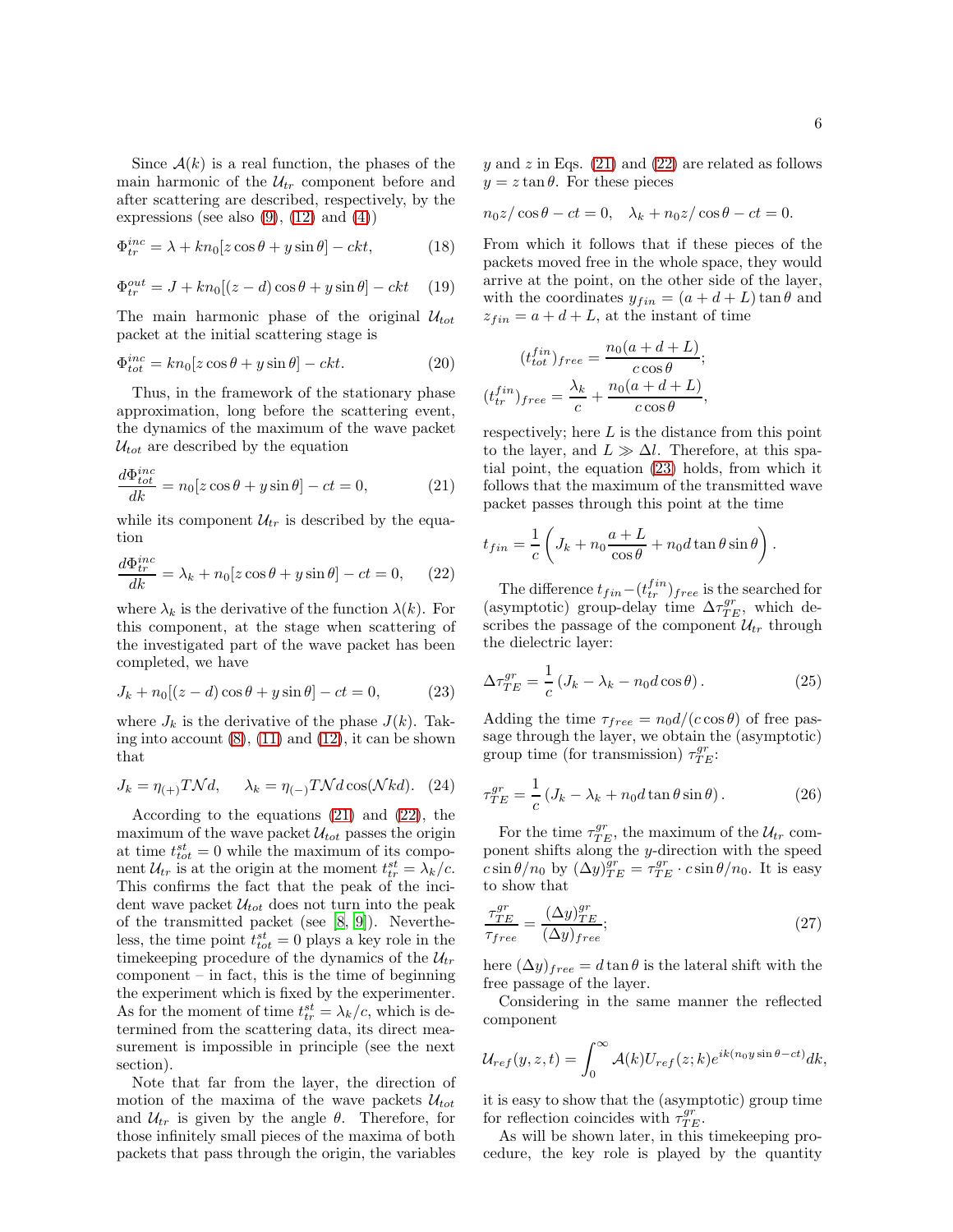Since  $A(k)$  is a real function, the phases of the main harmonic of the  $\mathcal{U}_{tr}$  component before and after scattering are described, respectively, by the expressions (see also  $(9)$ ,  $(12)$  and  $(4)$ )

$$
\Phi_{tr}^{inc} = \lambda + kn_0[z\cos\theta + y\sin\theta] - ckt,
$$
\n(18)

$$
\Phi_{tr}^{out} = J + kn_0[(z - d)\cos\theta + y\sin\theta] - ckt \quad (19)
$$

The main harmonic phase of the original  $\mathcal{U}_{tot}$ packet at the initial scattering stage is

$$
\Phi_{tot}^{inc} = kn_0[z\cos\theta + y\sin\theta] - ckt.
$$
\n(20)

Thus, in the framework of the stationary phase approximation, long before the scattering event, the dynamics of the maximum of the wave packet  $U_{tot}$  are described by the equation

<span id="page-5-0"></span>
$$
\frac{d\Phi_{tot}^{inc}}{dk} = n_0[z\cos\theta + y\sin\theta] - ct = 0,
$$
\n(21)

while its component  $\mathcal{U}_{tr}$  is described by the equation

<span id="page-5-1"></span>
$$
\frac{d\Phi_{tr}^{inc}}{dk} = \lambda_k + n_0[z\cos\theta + y\sin\theta] - ct = 0, \quad (22)
$$

where  $\lambda_k$  is the derivative of the function  $\lambda(k)$ . For this component, at the stage when scattering of the investigated part of the wave packet has been completed, we have

<span id="page-5-2"></span>
$$
J_k + n_0[(z - d)\cos\theta + y\sin\theta] - ct = 0,
$$
 (23)

where  $J_k$  is the derivative of the phase  $J(k)$ . Taking into account  $(8)$ ,  $(11)$  and  $(12)$ , it can be shown that

<span id="page-5-4"></span>
$$
J_k = \eta_{(+)} T \mathcal{N} d, \quad \lambda_k = \eta_{(-)} T \mathcal{N} d \cos(\mathcal{N} k d). \tag{24}
$$

According to the equations [\(21\)](#page-5-0) and [\(22\)](#page-5-1), the maximum of the wave packet  $\mathcal{U}_{tot}$  passes the origin at time  $t_{tot}^{st} = 0$  while the maximum of its component  $\mathcal{U}_{tr}$  is at the origin at the moment  $t_{tr}^{st} = \lambda_k/c$ . This confirms the fact that the peak of the incident wave packet  $\mathcal{U}_{tot}$  does not turn into the peak of the transmitted packet (see [\[8,](#page-8-4) [9\]](#page-8-5)). Nevertheless, the time point  $t_{tot}^{st} = 0$  plays a key role in the timekeeping procedure of the dynamics of the  $\mathcal{U}_{tr}$  $component - in fact, this is the time of beginning$ the experiment which is fixed by the experimenter. As for the moment of time  $t_{tr}^{st} = \lambda_k/c$ , which is determined from the scattering data, its direct measurement is impossible in principle (see the next section).

Note that far from the layer, the direction of motion of the maxima of the wave packets  $\mathcal{U}_{tot}$ and  $U_{tr}$  is given by the angle  $\theta$ . Therefore, for those infinitely small pieces of the maxima of both packets that pass through the origin, the variables

y and z in Eqs.  $(21)$  and  $(22)$  are related as follows  $y = z \tan \theta$ . For these pieces

 $n_0z/\cos\theta - ct = 0$ ,  $\lambda_k + n_0z/\cos\theta - ct = 0$ .

From which it follows that if these pieces of the packets moved free in the whole space, they would arrive at the point, on the other side of the layer, with the coordinates  $y_{fin} = (a + d + L) \tan \theta$  and  $z_{fin} = a + d + L$ , at the instant of time

$$
(t_{tot}^{fin})_{free} = \frac{n_0(a+d+L)}{c\cos\theta};
$$

$$
(t_{tr}^{fin})_{free} = \frac{\lambda_k}{c} + \frac{n_0(a+d+L)}{c\cos\theta},
$$

respectively; here  $L$  is the distance from this point to the layer, and  $L \gg \Delta l$ . Therefore, at this spatial point, the equation [\(23\)](#page-5-2) holds, from which it follows that the maximum of the transmitted wave packet passes through this point at the time

$$
t_{fin} = \frac{1}{c} \left( J_k + n_0 \frac{a+L}{\cos \theta} + n_0 d \tan \theta \sin \theta \right).
$$

The difference  $t_{fin}-(t_{tr}^{fin})_{free}$  is the searched for (asymptotic) group-delay time  $\Delta \tau_{TE}^{gr}$ , which describes the passage of the component  $\mathcal{U}_{tr}$  through the dielectric layer:

<span id="page-5-3"></span>
$$
\Delta \tau_{TE}^{gr} = \frac{1}{c} \left( J_k - \lambda_k - n_0 d \cos \theta \right). \tag{25}
$$

Adding the time  $\tau_{free} = n_0 d / (c \cos \theta)$  of free passage through the layer, we obtain the (asymptotic) group time (for transmission)  $\tau_{TE}^{gr}$ :

$$
\tau_{TE}^{gr} = \frac{1}{c} \left( J_k - \lambda_k + n_0 d \tan \theta \sin \theta \right). \tag{26}
$$

For the time  $\tau_{TE}^{gr}$ , the maximum of the  $\mathcal{U}_{tr}$  component shifts along the y-direction with the speed  $c \sin \theta / n_0$  by  $(\Delta y)_{TE}^{gr} = \tau_{TE}^{gr} \cdot c \sin \theta / n_0$ . It is easy to show that

$$
\frac{\tau_{TE}^{gr}}{\tau_{free}} = \frac{(\Delta y)_{TE}^{gr}}{(\Delta y)_{free}};
$$
\n(27)

here  $(\Delta y)_{free} = d \tan \theta$  is the lateral shift with the free passage of the layer.

Considering in the same manner the reflected component

$$
\mathcal{U}_{ref}(y,z,t) = \int_0^\infty \mathcal{A}(k) U_{ref}(z;k) e^{ik(n_0 y \sin \theta - ct)} dk,
$$

it is easy to show that the (asymptotic) group time for reflection coincides with  $\tau_{TE}^{gr}$ .

As will be shown later, in this timekeeping procedure, the key role is played by the quantity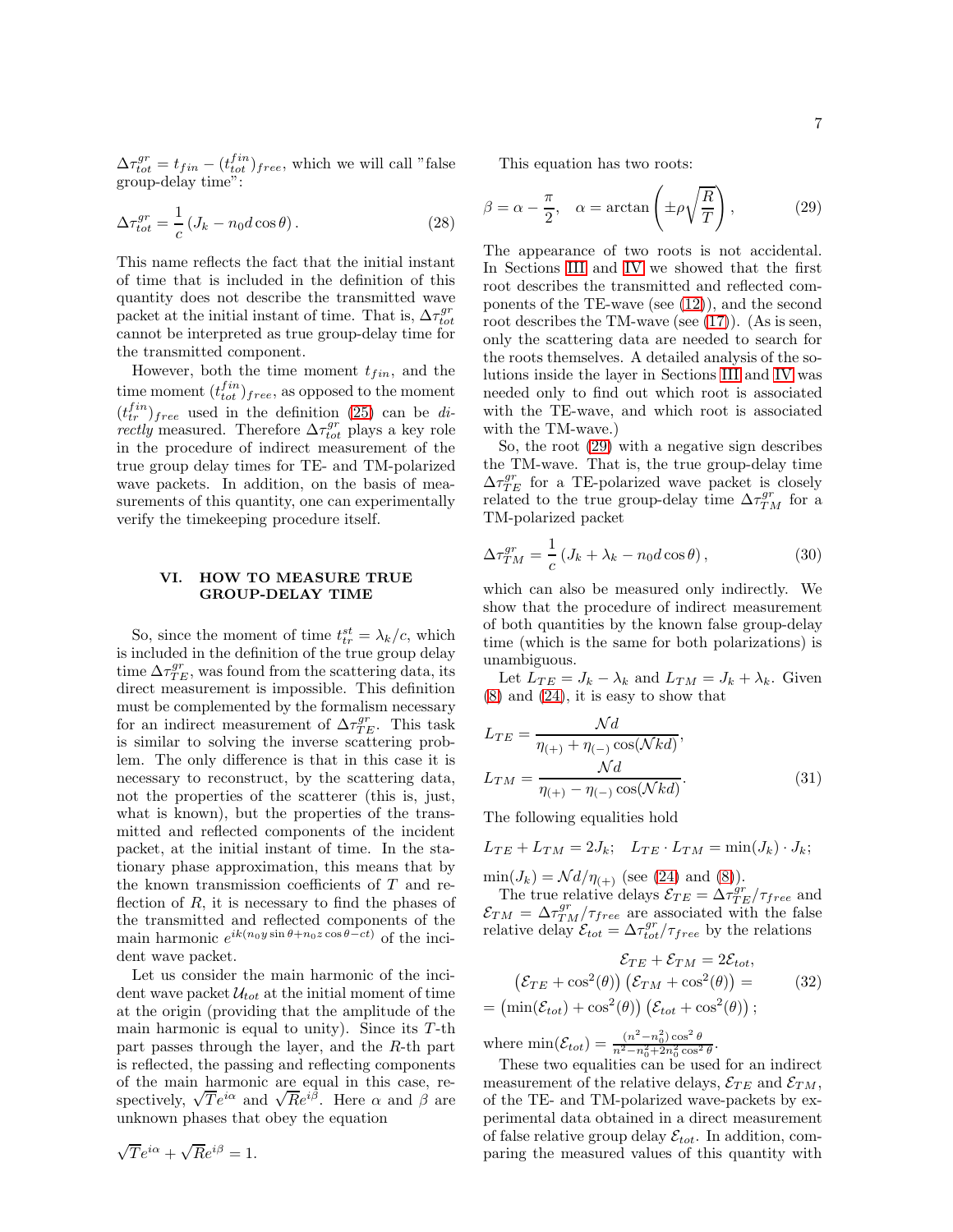$\Delta \tau_{tot}^{gr} = t_{fin} - (t_{tot}^{fin})_{free}$ , which we will call "false group-delay time":

<span id="page-6-1"></span>
$$
\Delta \tau_{tot}^{gr} = \frac{1}{c} \left( J_k - n_0 d \cos \theta \right). \tag{28}
$$

This name reflects the fact that the initial instant of time that is included in the definition of this quantity does not describe the transmitted wave packet at the initial instant of time. That is,  $\Delta\tau_{tot}^{gr}$ cannot be interpreted as true group-delay time for the transmitted component.

However, both the time moment  $t_{fin}$ , and the time moment  $(t_{tot}^{fin})_{free}$ , as opposed to the moment  $(t_{tr}^{fin})_{free}$  used in the definition [\(25\)](#page-5-3) can be directly measured. Therefore  $\Delta\tau_{tot}^{gr}$  plays a key role in the procedure of indirect measurement of the true group delay times for TE- and TM-polarized wave packets. In addition, on the basis of measurements of this quantity, one can experimentally verify the timekeeping procedure itself.

## VI. HOW TO MEASURE TRUE GROUP-DELAY TIME

So, since the moment of time  $t_{tr}^{st} = \lambda_k/c$ , which is included in the definition of the true group delay time  $\Delta \tau_{TE}^{gr}$ , was found from the scattering data, its direct measurement is impossible. This definition must be complemented by the formalism necessary for an indirect measurement of  $\Delta \tau_{TE}^{gr}$ . This task is similar to solving the inverse scattering problem. The only difference is that in this case it is necessary to reconstruct, by the scattering data, not the properties of the scatterer (this is, just, what is known), but the properties of the transmitted and reflected components of the incident packet, at the initial instant of time. In the stationary phase approximation, this means that by the known transmission coefficients of T and reflection of  $R$ , it is necessary to find the phases of the transmitted and reflected components of the main harmonic  $e^{ik(n_0y\sin\theta+n_0z\cos\theta-ct)}$  of the incident wave packet.

Let us consider the main harmonic of the incident wave packet  $\mathcal{U}_{tot}$  at the initial moment of time at the origin (providing that the amplitude of the main harmonic is equal to unity). Since its  $T$ -th part passes through the layer, and the R-th part is reflected, the passing and reflecting components of the main harmonic are equal in this case, respectively,  $\sqrt{T}e^{i\alpha}$  and  $\sqrt{Re^{i\beta}}$ . Here  $\alpha$  and  $\beta$  are unknown phases that obey the equation

$$
\sqrt{T}e^{i\alpha} + \sqrt{R}e^{i\beta} = 1.
$$

This equation has two roots:

<span id="page-6-0"></span>
$$
\beta = \alpha - \frac{\pi}{2}, \quad \alpha = \arctan\left(\pm \rho \sqrt{\frac{R}{T}}\right),\tag{29}
$$

The appearance of two roots is not accidental. In Sections [III](#page-2-0) and [IV](#page-3-0) we showed that the first root describes the transmitted and reflected components of the TE-wave (see [\(12\)](#page-3-2)), and the second root describes the TM-wave (see [\(17\)](#page-4-1)). (As is seen, only the scattering data are needed to search for the roots themselves. A detailed analysis of the solutions inside the layer in Sections [III](#page-2-0) and [IV](#page-3-0) was needed only to find out which root is associated with the TE-wave, and which root is associated with the TM-wave.)

So, the root [\(29\)](#page-6-0) with a negative sign describes the TM-wave. That is, the true group-delay time  $\Delta\tau_{TE}^{gr}$  for a TE-polarized wave packet is closely related to the true group-delay time  $\Delta \tau_{TM}^{gr}$  for a TM-polarized packet

$$
\Delta \tau_{TM}^{gr} = \frac{1}{c} \left( J_k + \lambda_k - n_0 d \cos \theta \right),\tag{30}
$$

which can also be measured only indirectly. We show that the procedure of indirect measurement of both quantities by the known false group-delay time (which is the same for both polarizations) is unambiguous.

Let  $L_{TE} = J_k - \lambda_k$  and  $L_{TM} = J_k + \lambda_k$ . Given [\(8\)](#page-2-1) and [\(24\)](#page-5-4), it is easy to show that

$$
L_{TE} = \frac{\mathcal{N}d}{\eta_{(+)} + \eta_{(-)}\cos(\mathcal{N}kd)},
$$
  
\n
$$
L_{TM} = \frac{\mathcal{N}d}{\eta_{(+)} - \eta_{(-)}\cos(\mathcal{N}kd)}.
$$
\n(31)

The following equalities hold

 $L_{TE} + L_{TM} = 2J_k$ ;  $L_{TE} \cdot L_{TM} = \min(J_k) \cdot J_k$ ;

 $\min(J_k) = \mathcal{N}d/\eta_{(+)}$  (see [\(24\)](#page-5-4) and [\(8\)](#page-2-1)).

The true relative delays  $\mathcal{E}_{TE} = \Delta \tau_{TE}^{gr}/\tau_{free}$  and  $\mathcal{E}_{TM} = \Delta \tau_{TM}^{gr}/\tau_{free}$  are associated with the false relative delay  $\mathcal{E}_{tot} = \Delta \tau_{tot}^{gr} / \tau_{free}$  by the relations

$$
\mathcal{E}_{TE} + \mathcal{E}_{TM} = 2\mathcal{E}_{tot},
$$
  

$$
(\mathcal{E}_{TE} + \cos^2(\theta)) (\mathcal{E}_{TM} + \cos^2(\theta)) =
$$
  

$$
= (\min(\mathcal{E}_{tot}) + \cos^2(\theta)) (\mathcal{E}_{tot} + \cos^2(\theta));
$$
 (32)

<span id="page-6-2"></span>.

where  $\min(\mathcal{E}_{tot}) = \frac{(n^2 - n_0^2)\cos^2\theta}{n^2 - n_0^2 + 2n_0^2\cos^2\theta}$ 

These two equalities can be used for an indirect measurement of the relative delays,  $\mathcal{E}_{TE}$  and  $\mathcal{E}_{TM}$ , of the TE- and TM-polarized wave-packets by experimental data obtained in a direct measurement of false relative group delay  $\mathcal{E}_{tot}$ . In addition, comparing the measured values of this quantity with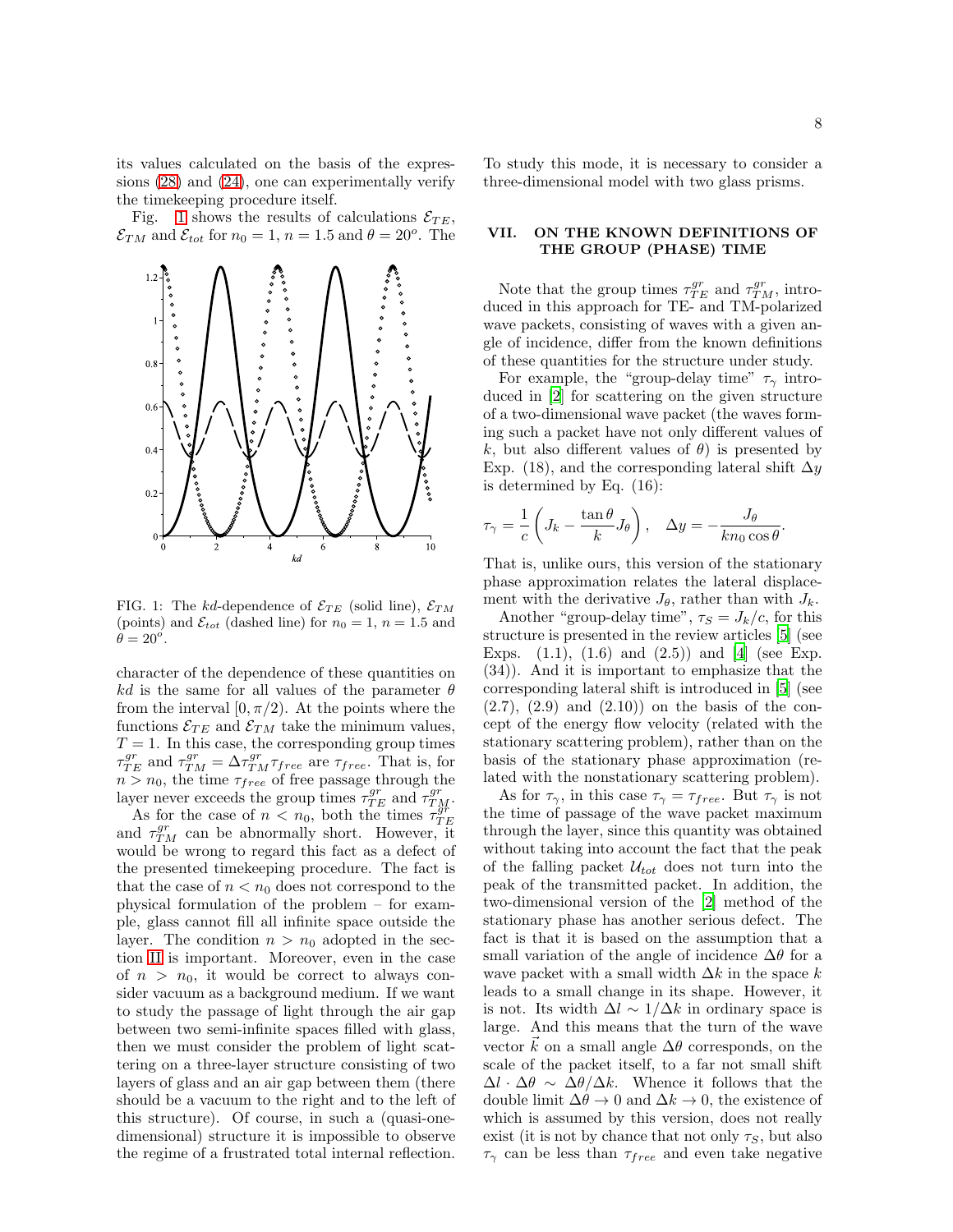its values calculated on the basis of the expressions [\(28\)](#page-6-1) and [\(24\)](#page-5-4), one can experimentally verify the timekeeping procedure itself.

Fig. [1](#page-7-1) shows the results of calculations  $\mathcal{E}_{TE}$ ,  $\mathcal{E}_{TM}$  and  $\mathcal{E}_{tot}$  for  $n_0 = 1$ ,  $n = 1.5$  and  $\theta = 20^o$ . The



<span id="page-7-1"></span>FIG. 1: The kd-dependence of  $\mathcal{E}_{TE}$  (solid line),  $\mathcal{E}_{TM}$ (points) and  $\mathcal{E}_{tot}$  (dashed line) for  $n_0 = 1$ ,  $n = 1.5$  and  $\ddot{\theta} = 20^{\circ}.$ 

character of the dependence of these quantities on kd is the same for all values of the parameter  $\theta$ from the interval  $[0, \pi/2)$ . At the points where the functions  $\mathcal{E}_{TE}$  and  $\mathcal{E}_{TM}$  take the minimum values,  $T = 1$ . In this case, the corresponding group times  $\tau_{TE}^{gr}$  and  $\tau_{TM}^{gr} = \Delta \tau_{TM}^{gr} \tau_{free}$  are  $\tau_{free}$ . That is, for  $n > n_0$ , the time  $\tau_{free}$  of free passage through the layer never exceeds the group times  $\tau_{TE}^{gr}$  and  $\tau_{TM}^{gr}$ .

As for the case of  $n < n_0$ , both the times  $\tau_{TE}^{\frac{3r}{9r}}$ and  $\tau_{TM}^{gr}$  can be abnormally short. However, it would be wrong to regard this fact as a defect of the presented timekeeping procedure. The fact is that the case of  $n < n_0$  does not correspond to the physical formulation of the problem – for example, glass cannot fill all infinite space outside the layer. The condition  $n > n_0$  adopted in the section [II](#page-1-0) is important. Moreover, even in the case of  $n > n_0$ , it would be correct to always consider vacuum as a background medium. If we want to study the passage of light through the air gap between two semi-infinite spaces filled with glass, then we must consider the problem of light scattering on a three-layer structure consisting of two layers of glass and an air gap between them (there should be a vacuum to the right and to the left of this structure). Of course, in such a (quasi-onedimensional) structure it is impossible to observe the regime of a frustrated total internal reflection.

To study this mode, it is necessary to consider a three-dimensional model with two glass prisms.

## <span id="page-7-0"></span>VII. ON THE KNOWN DEFINITIONS OF THE GROUP (PHASE) TIME

Note that the group times  $\tau_{TE}^{gr}$  and  $\tau_{TM}^{gr}$ , introduced in this approach for TE- and TM-polarized wave packets, consisting of waves with a given angle of incidence, differ from the known definitions of these quantities for the structure under study.

For example, the "group-delay time"  $\tau_{\gamma}$  introduced in [\[2](#page-8-8)] for scattering on the given structure of a two-dimensional wave packet (the waves forming such a packet have not only different values of k, but also different values of  $\theta$ ) is presented by Exp. (18), and the corresponding lateral shift  $\Delta y$ is determined by Eq. (16):

$$
\tau_{\gamma} = \frac{1}{c} \left( J_k - \frac{\tan \theta}{k} J_{\theta} \right), \quad \Delta y = -\frac{J_{\theta}}{k n_0 \cos \theta}.
$$

That is, unlike ours, this version of the stationary phase approximation relates the lateral displacement with the derivative  $J_{\theta}$ , rather than with  $J_k$ .

Another "group-delay time",  $\tau_s = J_k/c$ , for this structure is presented in the review articles [\[5](#page-8-3)] (see Exps.  $(1.1)$ ,  $(1.6)$  and  $(2.5)$  and  $[4]$  (see Exp. (34)). And it is important to emphasize that the corresponding lateral shift is introduced in [\[5\]](#page-8-3) (see  $(2.7)$ ,  $(2.9)$  and  $(2.10)$  on the basis of the concept of the energy flow velocity (related with the stationary scattering problem), rather than on the basis of the stationary phase approximation (related with the nonstationary scattering problem).

As for  $\tau_{\gamma}$ , in this case  $\tau_{\gamma} = \tau_{free}$ . But  $\tau_{\gamma}$  is not the time of passage of the wave packet maximum through the layer, since this quantity was obtained without taking into account the fact that the peak of the falling packet  $\mathcal{U}_{tot}$  does not turn into the peak of the transmitted packet. In addition, the two-dimensional version of the [\[2](#page-8-8)] method of the stationary phase has another serious defect. The fact is that it is based on the assumption that a small variation of the angle of incidence  $\Delta\theta$  for a wave packet with a small width  $\Delta k$  in the space k leads to a small change in its shape. However, it is not. Its width  $\Delta l \sim 1/\Delta k$  in ordinary space is large. And this means that the turn of the wave vector k on a small angle  $\Delta\theta$  corresponds, on the scale of the packet itself, to a far not small shift  $\Delta l \cdot \Delta \theta \sim \Delta \theta / \Delta k$ . Whence it follows that the double limit  $\Delta\theta \to 0$  and  $\Delta k \to 0$ , the existence of which is assumed by this version, does not really exist (it is not by chance that not only  $\tau_s$ , but also  $\tau_{\gamma}$  can be less than  $\tau_{free}$  and even take negative